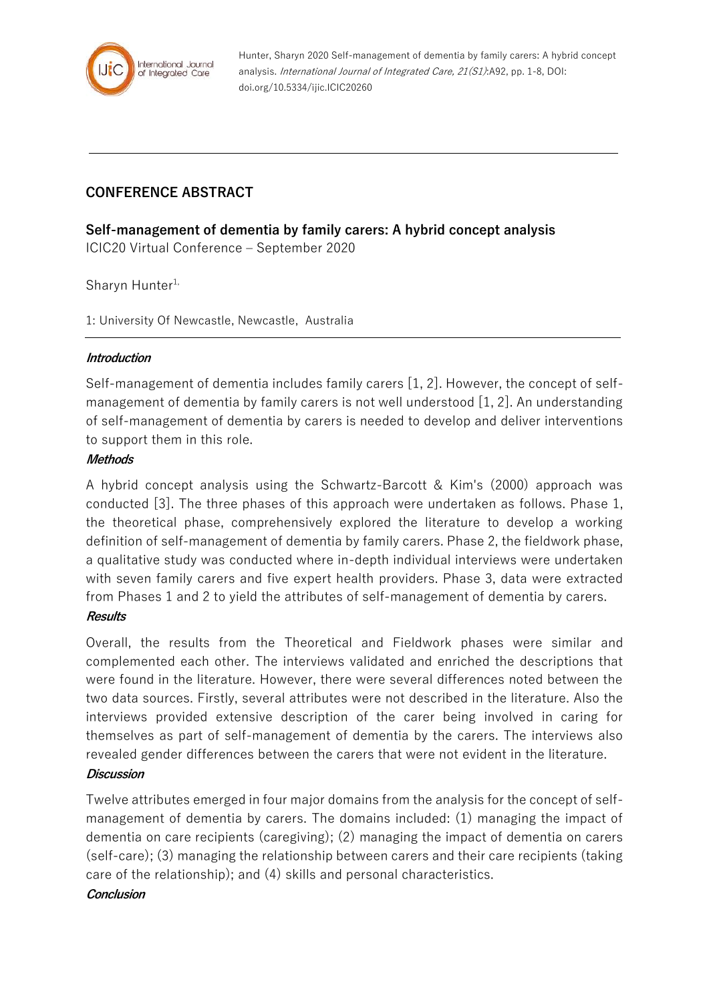

Hunter, Sharyn 2020 Self-management of dementia by family carers: A hybrid concept analysis. International Journal of Integrated Care, 21(S1):A92, pp. 1-8, DOI: doi.org/10.5334/ijic.ICIC20260

# **CONFERENCE ABSTRACT**

**Self-management of dementia by family carers: A hybrid concept analysis**

ICIC20 Virtual Conference – September 2020

Sharyn Hunter<sup>1,</sup>

1: University Of Newcastle, Newcastle, Australia

### **Introduction**

Self-management of dementia includes family carers [1, 2]. However, the concept of selfmanagement of dementia by family carers is not well understood [1, 2]. An understanding of self-management of dementia by carers is needed to develop and deliver interventions to support them in this role.

### **Methods**

A hybrid concept analysis using the Schwartz-Barcott & Kim's (2000) approach was conducted [3]. The three phases of this approach were undertaken as follows. Phase 1, the theoretical phase, comprehensively explored the literature to develop a working definition of self-management of dementia by family carers. Phase 2, the fieldwork phase, a qualitative study was conducted where in-depth individual interviews were undertaken with seven family carers and five expert health providers. Phase 3, data were extracted from Phases 1 and 2 to yield the attributes of self-management of dementia by carers.

#### **Results**

Overall, the results from the Theoretical and Fieldwork phases were similar and complemented each other. The interviews validated and enriched the descriptions that were found in the literature. However, there were several differences noted between the two data sources. Firstly, several attributes were not described in the literature. Also the interviews provided extensive description of the carer being involved in caring for themselves as part of self-management of dementia by the carers. The interviews also revealed gender differences between the carers that were not evident in the literature.

### **Discussion**

Twelve attributes emerged in four major domains from the analysis for the concept of selfmanagement of dementia by carers. The domains included: (1) managing the impact of dementia on care recipients (caregiving); (2) managing the impact of dementia on carers (self-care); (3) managing the relationship between carers and their care recipients (taking care of the relationship); and (4) skills and personal characteristics.

#### **Conclusion**